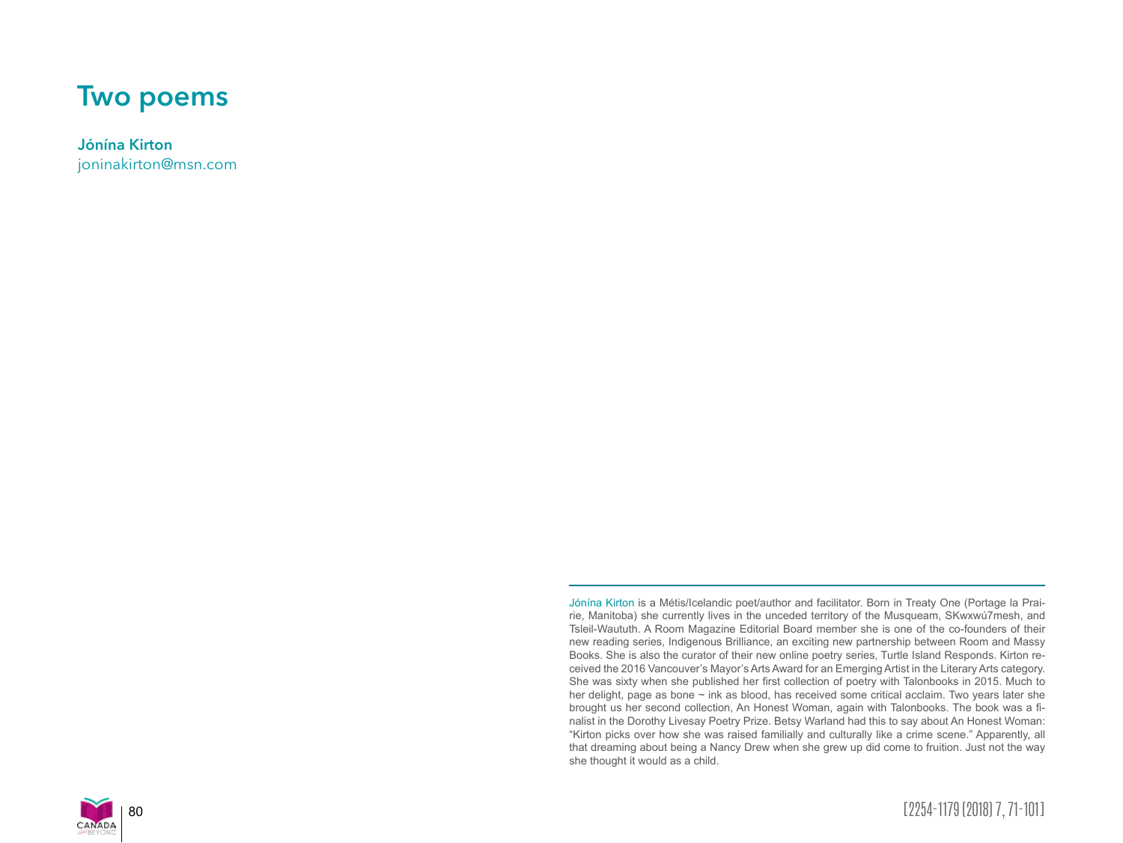## **Two poems**

**Jónína Kirton**

joninakirton@msn.com

Jónína Kirton is a Métis/Icelandic poet/author and facilitator. Born in Treaty One (Portage la Prairie, Manitoba) she currently lives in the unceded territory of the Musqueam, SKwxwú7mesh, and Tsleil-Waututh. A Room Magazine Editorial Board member she is one of the co-founders of their new reading series, Indigenous Brilliance, an exciting new partnership between Room and Massy Books. She is also the curator of their new online poetry series, Turtle Island Responds. Kirton received the 2016 Vancouver's Mayor's Arts Award for an Emerging Artist in the Literary Arts category. She was sixty when she published her first collection of poetry with Talonbooks in 2015. Much to her delight, page as bone ~ ink as blood, has received some critical acclaim. Two years later she brought us her second collection, An Honest Woman, again with Talonbooks. The book was a finalist in the Dorothy Livesay Poetry Prize. Betsy Warland had this to say about An Honest Woman: "Kirton picks over how she was raised familially and culturally like a crime scene." Apparently, all that dreaming about being a Nancy Drew when she grew up did come to fruition. Just not the way she thought it would as a child.



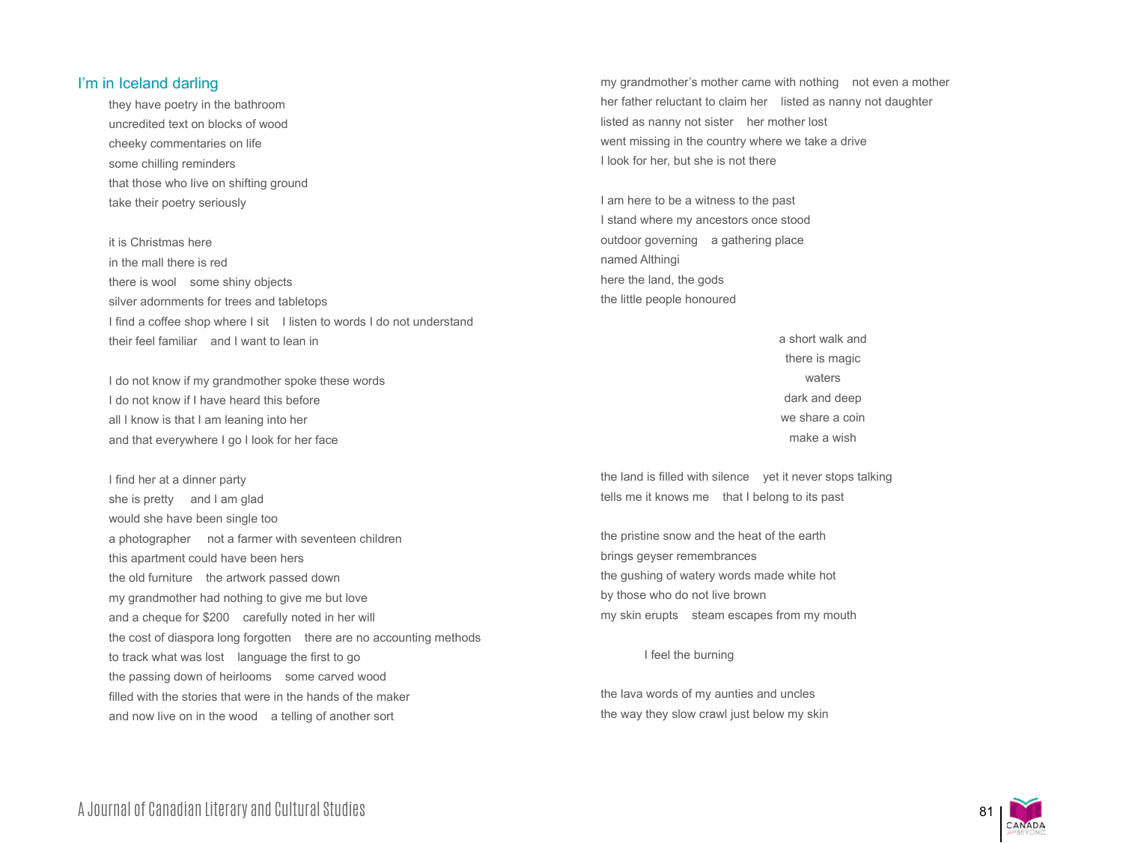## I'm in Iceland darling

they have poetry in the bathroom uncredited text on blocks of wood cheeky commentaries on life some chilling reminders that those who live on shifting ground take their poetry seriously

it is Christmas here in the mall there is red there is wool some shiny objects silver adornments for trees and tabletops I find a coffee shop where I sit I listen to words I do not understand their feel familiar and I want to lean in

I do not know if my grandmother spoke these words I do not know if I have heard this before all I know is that I am leaning into her and that everywhere I go I look for her face

I find her at a dinner party she is pretty and I am glad would she have been single too a photographer not a farmer with seventeen children this apartment could have been hers the old furniture the artwork passed down my grandmother had nothing to give me but love and a cheque for \$200 carefully noted in her will the cost of diaspora long forgotten there are no accounting methods to track what was lost language the first to go the passing down of heirlooms some carved wood filled with the stories that were in the hands of the maker and now live on in the wood a telling of another sort

my grandmother's mother came with nothing not even a mother her father reluctant to claim her listed as nanny not daughter listed as nanny not sister her mother lost went missing in the country where we take a drive I look for her, but she is not there

I am here to be a witness to the past I stand where my ancestors once stood outdoor governing a gathering place named Althingi here the land, the gods the little people honoured

> a short walk and there is magic waters dark and deep we share a coin make a wish

the land is filled with silence yet it never stops talking tells me it knows me that I belong to its past

the pristine snow and the heat of the earth brings geyser remembrances the gushing of watery words made white hot by those who do not live brown my skin erupts steam escapes from my mouth

## I feel the burning

the lava words of my aunties and uncles the way they slow crawl just below my skin

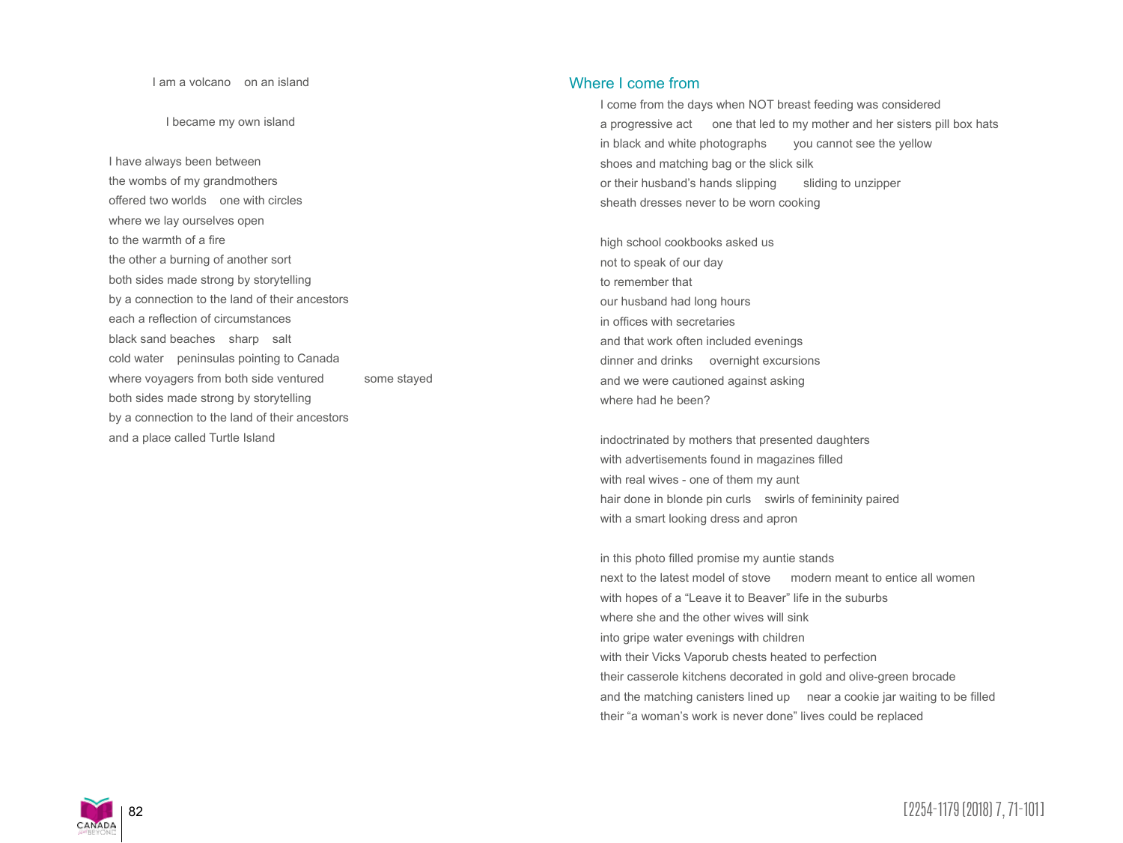## I am a volcano on an island

I became my own island

I have always been between the wombs of my grandmothers offered two worlds one with circles where we lay ourselves open to the warmth of a fire the other a burning of another sort both sides made strong by storytelling by a connection to the land of their ancestors each a reflection of circumstances black sand beaches sharp salt cold water peninsulas pointing to Canada where voyagers from both side ventured some stayed both sides made strong by storytelling by a connection to the land of their ancestors and a place called Turtle Island

Where I come from

I come from the days when NOT breast feeding was considered a progressive act one that led to my mother and her sisters pill box hats in black and white photographs you cannot see the yellow shoes and matching bag or the slick silk or their husband's hands slipping sliding to unzipper sheath dresses never to be worn cooking

high school cookbooks asked us not to speak of our day to remember that our husband had long hours in offices with secretaries and that work often included evenings dinner and drinks overnight excursions and we were cautioned against asking where had he been?

indoctrinated by mothers that presented daughters with advertisements found in magazines filled with real wives - one of them my aunt hair done in blonde pin curls swirls of femininity paired with a smart looking dress and apron

in this photo filled promise my auntie stands next to the latest model of stove modern meant to entice all women with hopes of a "Leave it to Beaver" life in the suburbs where she and the other wives will sink into gripe water evenings with children with their Vicks Vaporub chests heated to perfection their casserole kitchens decorated in gold and olive-green brocade and the matching canisters lined up near a cookie jar waiting to be filled their "a woman's work is never done" lives could be replaced